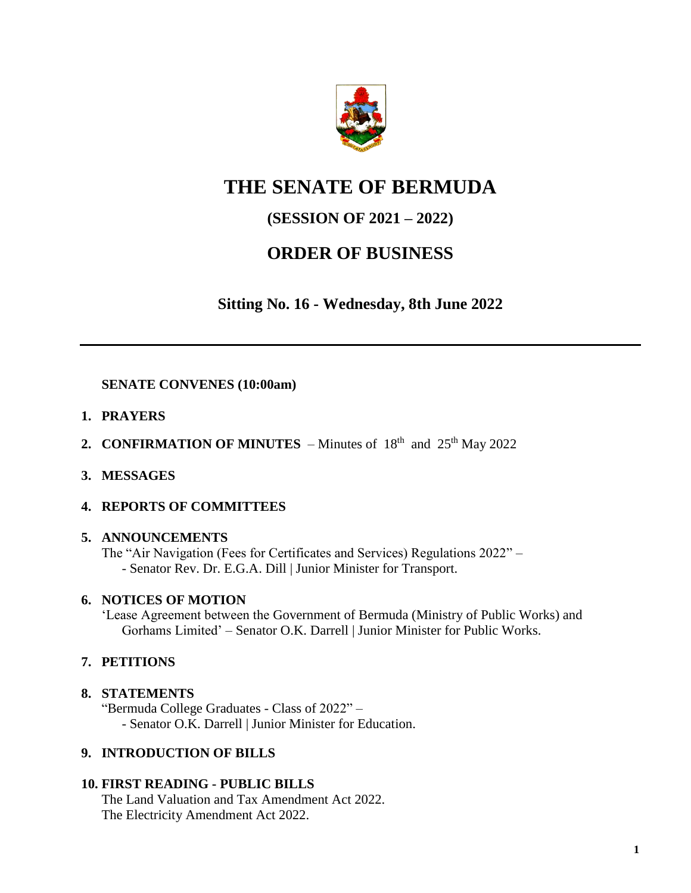

# **THE SENATE OF BERMUDA**

## **(SESSION OF 2021 – 2022)**

## **ORDER OF BUSINESS**

**Sitting No. 16 - Wednesday, 8th June 2022**

**SENATE CONVENES (10:00am)**

- **1. PRAYERS**
- **2. CONFIRMATION OF MINUTES** Minutes of  $18<sup>th</sup>$  and  $25<sup>th</sup>$  May 2022
- **3. MESSAGES**

## **4. REPORTS OF COMMITTEES**

## **5. ANNOUNCEMENTS**

The "Air Navigation (Fees for Certificates and Services) Regulations 2022" – - Senator Rev. Dr. E.G.A. Dill | Junior Minister for Transport.

## **6. NOTICES OF MOTION**

'Lease Agreement between the Government of Bermuda (Ministry of Public Works) and Gorhams Limited' – Senator O.K. Darrell | Junior Minister for Public Works.

## **7. PETITIONS**

## **8. STATEMENTS**

"Bermuda College Graduates - Class of 2022" – - Senator O.K. Darrell | Junior Minister for Education.

## **9. INTRODUCTION OF BILLS**

## **10. FIRST READING - PUBLIC BILLS**

The Land Valuation and Tax Amendment Act 2022. The Electricity Amendment Act 2022.